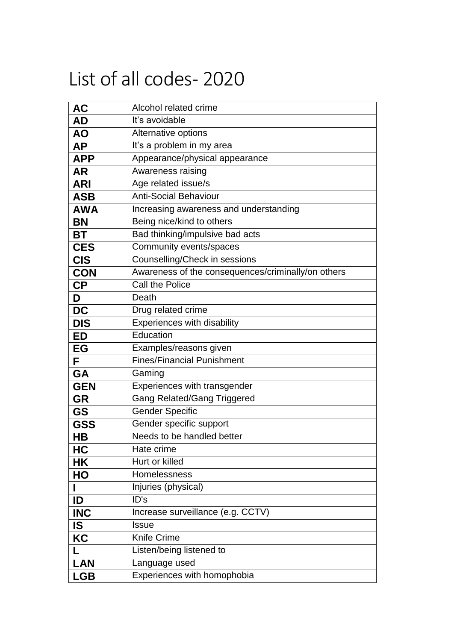## List of all codes- 2020

| <b>AC</b>  | Alcohol related crime                              |
|------------|----------------------------------------------------|
| AD         | It's avoidable                                     |
| <b>AO</b>  | Alternative options                                |
| <b>AP</b>  | It's a problem in my area                          |
| <b>APP</b> | Appearance/physical appearance                     |
| <b>AR</b>  | Awareness raising                                  |
| <b>ARI</b> | Age related issue/s                                |
| <b>ASB</b> | <b>Anti-Social Behaviour</b>                       |
| <b>AWA</b> | Increasing awareness and understanding             |
| <b>BN</b>  | Being nice/kind to others                          |
| BT         | Bad thinking/impulsive bad acts                    |
| <b>CES</b> | Community events/spaces                            |
| <b>CIS</b> | <b>Counselling/Check in sessions</b>               |
| <b>CON</b> | Awareness of the consequences/criminally/on others |
| <b>CP</b>  | Call the Police                                    |
| D          | Death                                              |
| <b>DC</b>  | Drug related crime                                 |
| <b>DIS</b> | Experiences with disability                        |
| <b>ED</b>  | Education                                          |
| EG         | Examples/reasons given                             |
| F          | <b>Fines/Financial Punishment</b>                  |
| GA         | Gaming                                             |
| <b>GEN</b> | Experiences with transgender                       |
| <b>GR</b>  | <b>Gang Related/Gang Triggered</b>                 |
| <b>GS</b>  | <b>Gender Specific</b>                             |
| <b>GSS</b> | Gender specific support                            |
| <b>HB</b>  | Needs to be handled better                         |
| HC         | Hate crime                                         |
| <b>HK</b>  | Hurt or killed                                     |
| HO         | Homelessness                                       |
|            | Injuries (physical)                                |
| ID         | ID's                                               |
| <b>INC</b> | Increase surveillance (e.g. CCTV)                  |
| <b>IS</b>  | <b>Issue</b>                                       |
| KC         | <b>Knife Crime</b>                                 |
|            | Listen/being listened to                           |
| <b>LAN</b> | Language used                                      |
| <b>LGB</b> | Experiences with homophobia                        |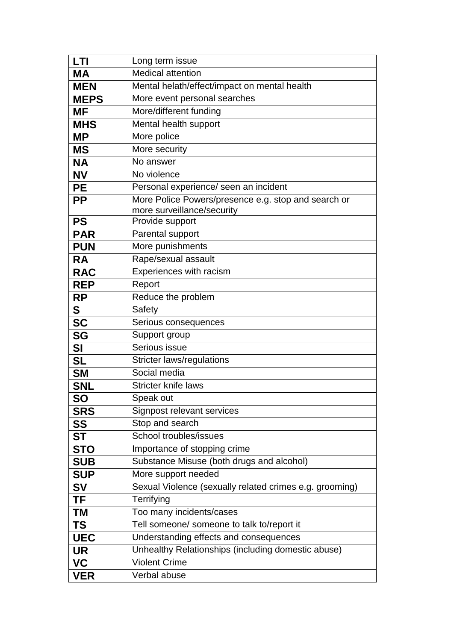| LTI         | Long term issue                                                                   |
|-------------|-----------------------------------------------------------------------------------|
| <b>MA</b>   | <b>Medical attention</b>                                                          |
| <b>MEN</b>  | Mental helath/effect/impact on mental health                                      |
| <b>MEPS</b> | More event personal searches                                                      |
| <b>MF</b>   | More/different funding                                                            |
| <b>MHS</b>  | Mental health support                                                             |
| <b>MP</b>   | More police                                                                       |
| <b>MS</b>   | More security                                                                     |
| <b>NA</b>   | No answer                                                                         |
| <b>NV</b>   | No violence                                                                       |
| <b>PE</b>   | Personal experience/ seen an incident                                             |
| <b>PP</b>   | More Police Powers/presence e.g. stop and search or<br>more surveillance/security |
| <b>PS</b>   | Provide support                                                                   |
| <b>PAR</b>  | Parental support                                                                  |
| <b>PUN</b>  | More punishments                                                                  |
| <b>RA</b>   | Rape/sexual assault                                                               |
| <b>RAC</b>  | Experiences with racism                                                           |
| <b>REP</b>  | Report                                                                            |
| <b>RP</b>   | Reduce the problem                                                                |
| S           | Safety                                                                            |
| <b>SC</b>   | Serious consequences                                                              |
| <b>SG</b>   | Support group                                                                     |
| <b>SI</b>   | Serious issue                                                                     |
| <b>SL</b>   | <b>Stricter laws/regulations</b>                                                  |
| <b>SM</b>   | Social media                                                                      |
| <b>SNL</b>  | <b>Stricter knife laws</b>                                                        |
| <b>SO</b>   | Speak out                                                                         |
| <b>SRS</b>  | Signpost relevant services                                                        |
| <b>SS</b>   | Stop and search                                                                   |
| ST          | School troubles/issues                                                            |
| <b>STO</b>  | Importance of stopping crime                                                      |
| <b>SUB</b>  | Substance Misuse (both drugs and alcohol)                                         |
| <b>SUP</b>  | More support needed                                                               |
| <b>SV</b>   | Sexual Violence (sexually related crimes e.g. grooming)                           |
| TF          | Terrifying                                                                        |
| ΤM          | Too many incidents/cases                                                          |
| <b>TS</b>   | Tell someone/ someone to talk to/report it                                        |
| <b>UEC</b>  | Understanding effects and consequences                                            |
| <b>UR</b>   | Unhealthy Relationships (including domestic abuse)                                |
| <b>VC</b>   | <b>Violent Crime</b>                                                              |
| <b>VER</b>  | Verbal abuse                                                                      |